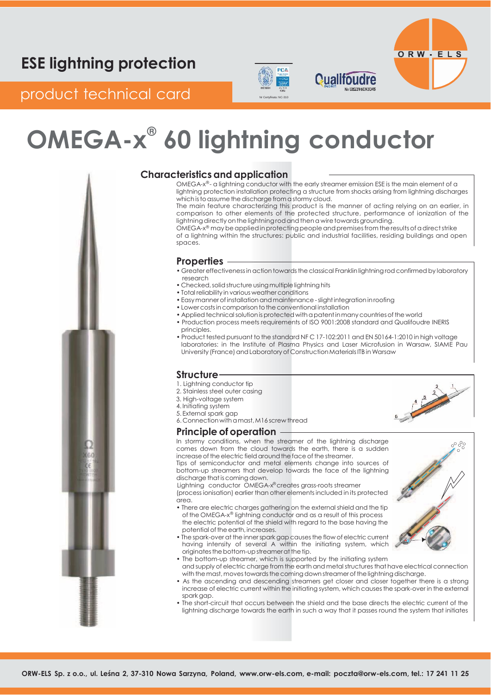# PCA



## product technical card Networks

# **OMEGA-x ® 60 lightning conductor**



### **Characteristics and application**

OMEGA-x®- a lightning conductor with the early streamer emission ESE is the main element of a lightning protection installation protecting a structure from shocks arising from lightning discharges which is to assume the discharge from a stormy cloud.

**Qualifoudre** 

The main feature characterizing this product is the manner of acting relying on an earlier, in comparison to other elements of the protected structure, performance of ionization of the lightning directly on the lightning rod and then a wire towards grounding.

OMEGA-x® may be applied in protecting people and premises from the results of a direct strike of a lightning within the structures: public and industrial facilities, residing buildings and open spaces.

#### **Properties**

- Greater effectiveness in action towards the classical Franklin lightning rod confirmed by laboratory research
- Checked, solid structure using multiple lightning hits
- Total reliability in various weather conditions
- Easy manner of installation and maintenance slight integration in roofing
- Lower costsincomparison tothe conventional installation
- Applied technical solution is protected with a patent in many countries of the world
- Production process meets requirements of ISO 9001:2008 standard and Qualifoudre INERIS principles.
- Product tested pursuant to the standard NFC 17-102:2011 and EN 50164-1:2010 in high voltage laboratories: in the Institute of Plasma Physics and Laser Microfusion in Warsaw, SIAME Pau University (France) and Laboratory of Construction Materials ITB in Warsaw

### **Structure**

- 1. Lightning conductor tip
- 2. Stainless steel outer casing
- 3. High-voltage system
- 4. Initiating system
- 5. External spark gap 6. Connection withamast,M16 screw thread

#### **Principle of operation**

In stormy conditions, when the streamer of the lightning discharge comes down from the cloud towards the earth, there is a sudden increase of the electric field around the face of the streamer.

Tips of semiconductor and metal elements change into sources of bottom-up streamers that develop towards the face of the lightning discharge that is coming down.

Lightning conductor OMEGA-x® creates grass-roots streamer (process ionisation) earlier than other elements included in its protected area.

- There are electric charges gathering on the external shield and the tip of the OMEGA-x® lightning conductor and as a result of this process the electric potential of the shield with regard to the base having the potential of the earth, increases.
- The spark-over at the innerspark gap causesthe flow of electric current having intensity of several A within the initiating system, which originates the bottom-up streamer at the tip.
- The bottom-up streamer, which is supported by the initiating system and supply of electric charge from the earth and metal structures that have electrical connection with the mast, moves towards the coming down streamer of the lightning discharge.
- As the ascending and descending streamers get closer and closer together there is a strong increase of electric current within the initiating system, which causesthe spark-over in the external spark gap.
- The short-circuit that occurs between the shield and the base directs the electric current of the lightning discharge towards the earth in such a way that it passes round the system that initiates



**Contract of the Contract of Contract of The Contract of Contract of The Contract of The Contract of The Contract of The Contract of The Contract of The Contract of The Contract of The Contract of The Contract of The Contr**